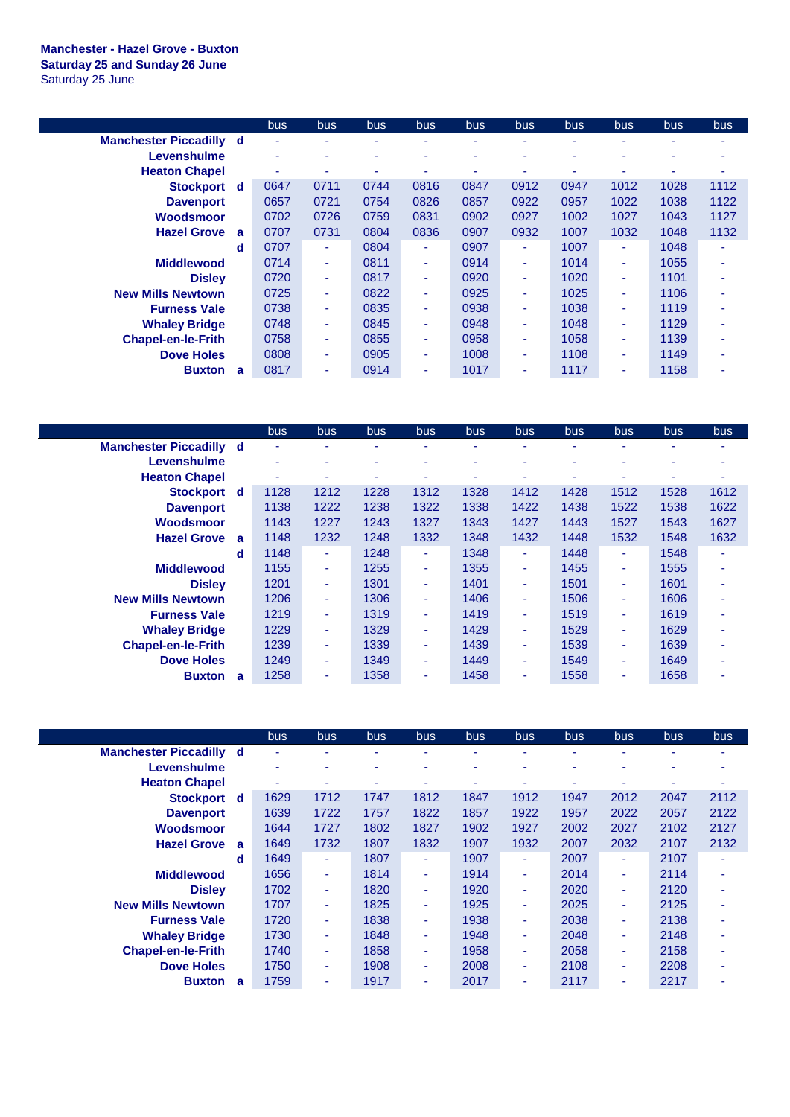## **Manchester - Hazel Grove - Buxton Saturday 25 and Sunday 26 June** Saturday 25 June

|                                |                | bus.                     | bus.                     | bus. | <b>bus</b> | bus. | bus. | bus. | bus.                     | bus. | bus. |
|--------------------------------|----------------|--------------------------|--------------------------|------|------------|------|------|------|--------------------------|------|------|
| <b>Manchester Piccadilly d</b> |                |                          |                          |      |            |      |      |      |                          |      |      |
| Levenshulme                    |                | $\overline{\phantom{a}}$ | ۰                        | ۰    | ۰          | ۰    | ۰    | ۰    | ۰                        |      |      |
| <b>Heaton Chapel</b>           |                |                          |                          |      |            |      |      |      |                          |      |      |
| <b>Stockport</b>               | ∣ d            | 0647                     | 0711                     | 0744 | 0816       | 0847 | 0912 | 0947 | 1012                     | 1028 | 1112 |
| <b>Davenport</b>               |                | 0657                     | 0721                     | 0754 | 0826       | 0857 | 0922 | 0957 | 1022                     | 1038 | 1122 |
| Woodsmoor                      |                | 0702                     | 0726                     | 0759 | 0831       | 0902 | 0927 | 1002 | 1027                     | 1043 | 1127 |
| <b>Hazel Grove</b>             | $\overline{a}$ | 0707                     | 0731                     | 0804 | 0836       | 0907 | 0932 | 1007 | 1032                     | 1048 | 1132 |
|                                | d              | 0707                     | ٠                        | 0804 | ٠          | 0907 | ۰    | 1007 | ٠                        | 1048 |      |
| <b>Middlewood</b>              |                | 0714                     | ٠                        | 0811 | ٠          | 0914 | ۰    | 1014 | ٠                        | 1055 |      |
| <b>Disley</b>                  |                | 0720                     | ٠                        | 0817 | ٠          | 0920 | ۰    | 1020 | ٠                        | 1101 | ۰    |
| <b>New Mills Newtown</b>       |                | 0725                     | ٠                        | 0822 | ٠          | 0925 | ۰    | 1025 | $\overline{\phantom{0}}$ | 1106 |      |
| <b>Furness Vale</b>            |                | 0738                     | ٠                        | 0835 | ٠          | 0938 |      | 1038 | $\overline{\phantom{0}}$ | 1119 |      |
| <b>Whaley Bridge</b>           |                | 0748                     | ٠                        | 0845 | ٠          | 0948 | ۰    | 1048 | ٠                        | 1129 |      |
| <b>Chapel-en-le-Frith</b>      |                | 0758                     | ٠                        | 0855 | ٠          | 0958 | ۰    | 1058 | ٠                        | 1139 |      |
| <b>Dove Holes</b>              |                | 0808                     | $\overline{\phantom{a}}$ | 0905 | ٠          | 1008 | ۰    | 1108 | ٠                        | 1149 |      |
| <b>Buxton</b>                  | a              | 0817                     | $\overline{\phantom{a}}$ | 0914 | ٠          | 1017 | ۰    | 1117 | ۰                        | 1158 |      |

|                                |          | bus. | <b>bus</b> | bus. | bus.                     | <b>bus</b> | bus. | bus. | <b>bus</b> | bus. | bus  |
|--------------------------------|----------|------|------------|------|--------------------------|------------|------|------|------------|------|------|
| <b>Manchester Piccadilly d</b> |          | ٠    | ٠          | ۰    |                          | ۰          | ۰    |      | ۰          | ۰    |      |
| Levenshulme                    |          |      | ۰          | ۰    |                          |            | ۰    |      |            | ۰    |      |
| <b>Heaton Chapel</b>           |          | ٠    | ۰          | ٠    |                          |            | ۰    |      |            | ۰    |      |
| Stockport d                    |          | 1128 | 1212       | 1228 | 1312                     | 1328       | 1412 | 1428 | 1512       | 1528 | 1612 |
| <b>Davenport</b>               |          | 1138 | 1222       | 1238 | 1322                     | 1338       | 1422 | 1438 | 1522       | 1538 | 1622 |
| Woodsmoor                      |          | 1143 | 1227       | 1243 | 1327                     | 1343       | 1427 | 1443 | 1527       | 1543 | 1627 |
| <b>Hazel Grove</b>             | <b>a</b> | 1148 | 1232       | 1248 | 1332                     | 1348       | 1432 | 1448 | 1532       | 1548 | 1632 |
|                                | d        | 1148 | ٠          | 1248 | ۰                        | 1348       | ٠    | 1448 | ٠          | 1548 |      |
| <b>Middlewood</b>              |          | 1155 | ÷          | 1255 | ۰                        | 1355       | ٠    | 1455 | ٠          | 1555 |      |
| <b>Disley</b>                  |          | 1201 | $\sim$     | 1301 | ۰                        | 1401       | ٠    | 1501 | ٠          | 1601 | ۰    |
| <b>New Mills Newtown</b>       |          | 1206 | ÷          | 1306 | ٠                        | 1406       | ٠    | 1506 | ٠          | 1606 |      |
| <b>Furness Vale</b>            |          | 1219 | ÷.         | 1319 | ٠                        | 1419       | ٠    | 1519 | $\sim$     | 1619 |      |
| <b>Whaley Bridge</b>           |          | 1229 | $\sim$     | 1329 | ٠                        | 1429       | ٠    | 1529 | ٠          | 1629 |      |
| <b>Chapel-en-le-Frith</b>      |          | 1239 | ÷          | 1339 | ٠                        | 1439       | ٠    | 1539 | ٠          | 1639 |      |
| <b>Dove Holes</b>              |          | 1249 | ÷          | 1349 | ۰                        | 1449       | ٠    | 1549 | ٠          | 1649 |      |
| <b>Buxton</b>                  | a        | 1258 | ٠          | 1358 | $\overline{\phantom{a}}$ | 1458       | ٠    | 1558 | ٠          | 1658 |      |

|                                |              | bus  | <b>bus</b> | bus  | <b>bus</b> | bus. | bus. | <b>bus</b> | bus  | <b>bus</b> | bus. |
|--------------------------------|--------------|------|------------|------|------------|------|------|------------|------|------------|------|
| <b>Manchester Piccadilly d</b> |              | ٠    | ۰          | ٠    |            | ٠    |      |            |      |            |      |
| Levenshulme                    |              | ٠    | ۰          | ۰    |            | ۰    |      | ٠          |      | ۰          |      |
| <b>Heaton Chapel</b>           |              | ۰    |            | ۰    |            |      |      | -          |      |            |      |
| <b>Stockport</b>               | <b>d</b>     | 1629 | 1712       | 1747 | 1812       | 1847 | 1912 | 1947       | 2012 | 2047       | 2112 |
| <b>Davenport</b>               |              | 1639 | 1722       | 1757 | 1822       | 1857 | 1922 | 1957       | 2022 | 2057       | 2122 |
| Woodsmoor                      |              | 1644 | 1727       | 1802 | 1827       | 1902 | 1927 | 2002       | 2027 | 2102       | 2127 |
| <b>Hazel Grove</b>             | $\mathbf{a}$ | 1649 | 1732       | 1807 | 1832       | 1907 | 1932 | 2007       | 2032 | 2107       | 2132 |
|                                | d            | 1649 | ۰          | 1807 | ٠          | 1907 | ۰    | 2007       | ٠    | 2107       |      |
| <b>Middlewood</b>              |              | 1656 | ۰          | 1814 | ۰          | 1914 | ٠    | 2014       | ٠    | 2114       |      |
| <b>Disley</b>                  |              | 1702 | ۰          | 1820 | ۰          | 1920 | ٠    | 2020       | ٠    | 2120       |      |
| <b>New Mills Newtown</b>       |              | 1707 | ٠          | 1825 | ٠          | 1925 | ÷    | 2025       | ٠    | 2125       |      |
| <b>Furness Vale</b>            |              | 1720 | ٠          | 1838 | ٠          | 1938 | ٠    | 2038       | ۰    | 2138       |      |
| <b>Whaley Bridge</b>           |              | 1730 | ۰          | 1848 | ۰          | 1948 |      | 2048       |      | 2148       |      |
| <b>Chapel-en-le-Frith</b>      |              | 1740 | ۰          | 1858 | ٠          | 1958 | ۰    | 2058       | ۰    | 2158       |      |
| <b>Dove Holes</b>              |              | 1750 | ٠          | 1908 | ٠          | 2008 | ÷    | 2108       | ۰    | 2208       |      |
| <b>Buxton</b>                  | a            | 1759 | ۰          | 1917 | ۰          | 2017 |      | 2117       |      | 2217       |      |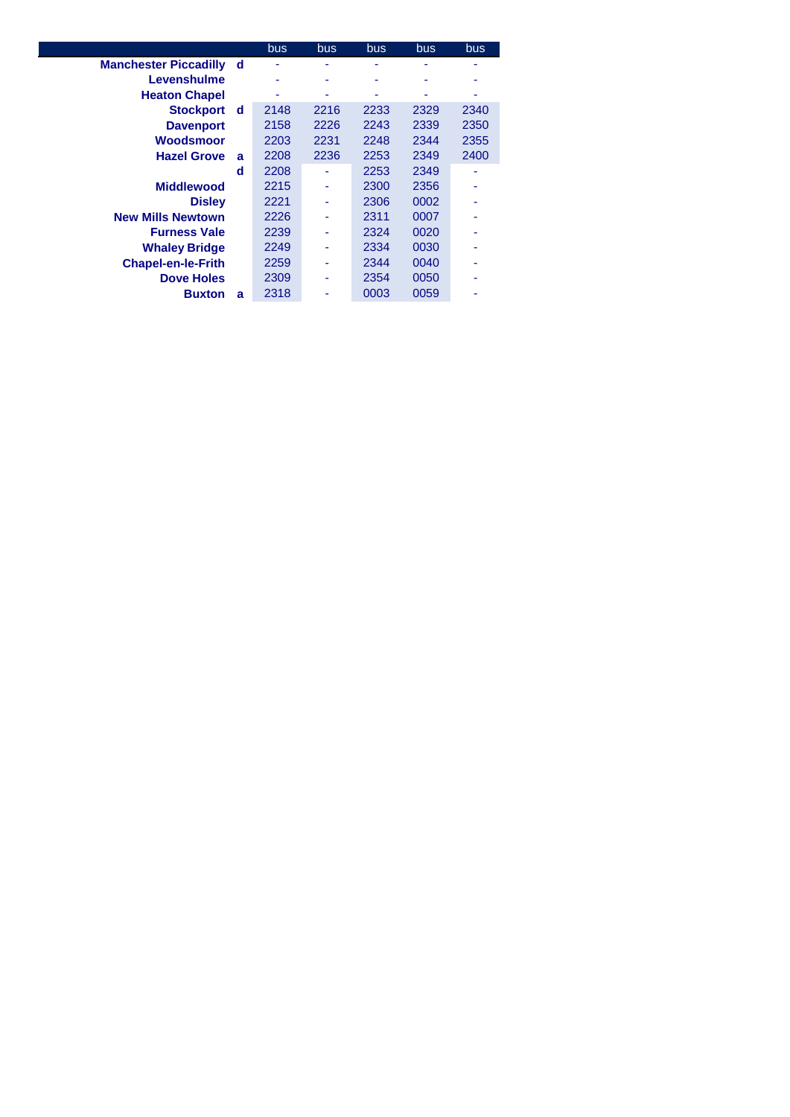|                              |   | bus. | <b>bus</b> | bus. | bus  | bus  |
|------------------------------|---|------|------------|------|------|------|
| <b>Manchester Piccadilly</b> | d |      |            |      |      |      |
| Levenshulme                  |   | ۰    |            |      |      |      |
| <b>Heaton Chapel</b>         |   |      | ۰          |      |      |      |
| <b>Stockport</b>             | d | 2148 | 2216       | 2233 | 2329 | 2340 |
| <b>Davenport</b>             |   | 2158 | 2226       | 2243 | 2339 | 2350 |
| Woodsmoor                    |   | 2203 | 2231       | 2248 | 2344 | 2355 |
| <b>Hazel Grove</b>           | a | 2208 | 2236       | 2253 | 2349 | 2400 |
|                              | d | 2208 |            | 2253 | 2349 |      |
| <b>Middlewood</b>            |   | 2215 |            | 2300 | 2356 |      |
| <b>Disley</b>                |   | 2221 |            | 2306 | 0002 |      |
| <b>New Mills Newtown</b>     |   | 2226 |            | 2311 | 0007 |      |
| <b>Furness Vale</b>          |   | 2239 |            | 2324 | 0020 |      |
| <b>Whaley Bridge</b>         |   | 2249 |            | 2334 | 0030 |      |
| <b>Chapel-en-le-Frith</b>    |   | 2259 |            | 2344 | 0040 |      |
| <b>Dove Holes</b>            |   | 2309 |            | 2354 | 0050 |      |
| <b>Buxton</b>                | a | 2318 |            | 0003 | 0059 |      |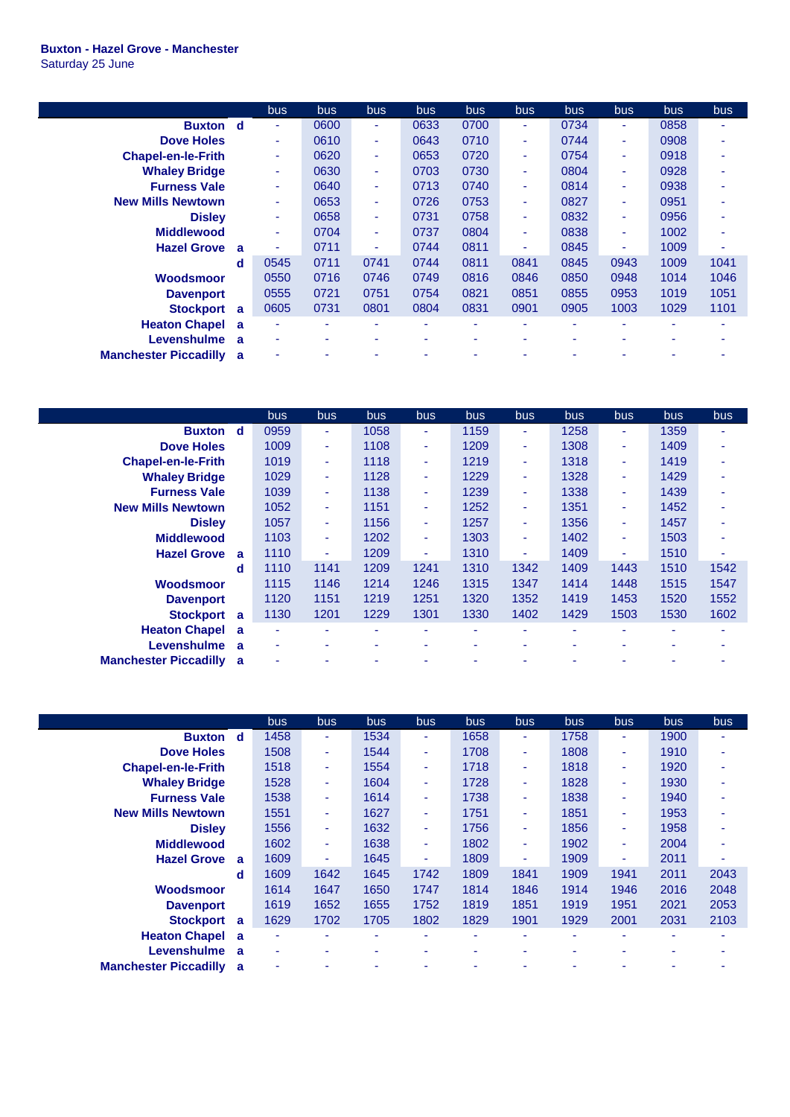## **Buxton - Hazel Grove - Manchester** Saturday 25 June

 $\overline{\phantom{a}}$ 

|                              |          | bus. | <b>bus</b>               | <b>bus</b> | bus  | <b>bus</b> | bus. | <b>bus</b> | <b>bus</b> | <b>bus</b> | bus. |
|------------------------------|----------|------|--------------------------|------------|------|------------|------|------------|------------|------------|------|
| <b>Buxton</b> d              |          | ۰    | 0600                     | ٠          | 0633 | 0700       |      | 0734       | ٠          | 0858       |      |
| <b>Dove Holes</b>            |          | ۰    | 0610                     | ٠          | 0643 | 0710       | ٠    | 0744       | ٠          | 0908       |      |
| <b>Chapel-en-le-Frith</b>    |          | ۰    | 0620                     | ٠          | 0653 | 0720       | ۰    | 0754       | ٠          | 0918       |      |
| <b>Whaley Bridge</b>         |          | ۰    | 0630                     | ٠          | 0703 | 0730       | ۰    | 0804       | ٠          | 0928       |      |
| <b>Furness Vale</b>          |          | ۰    | 0640                     | ٠          | 0713 | 0740       | ٠    | 0814       | ٠          | 0938       |      |
| <b>New Mills Newtown</b>     |          | ۰    | 0653                     | ٠          | 0726 | 0753       | ۰    | 0827       | ۰          | 0951       |      |
| <b>Disley</b>                |          | ۰    | 0658                     | ٠          | 0731 | 0758       | ٠    | 0832       | ۰          | 0956       |      |
| <b>Middlewood</b>            |          | ۰    | 0704                     | $\sim$     | 0737 | 0804       | ٠    | 0838       | ٠          | 1002       |      |
| <b>Hazel Grove</b>           | <b>a</b> | ۰    | 0711                     | ٠          | 0744 | 0811       | ۰    | 0845       | ٠          | 1009       |      |
|                              | d        | 0545 | 0711                     | 0741       | 0744 | 0811       | 0841 | 0845       | 0943       | 1009       | 1041 |
| Woodsmoor                    |          | 0550 | 0716                     | 0746       | 0749 | 0816       | 0846 | 0850       | 0948       | 1014       | 1046 |
| <b>Davenport</b>             |          | 0555 | 0721                     | 0751       | 0754 | 0821       | 0851 | 0855       | 0953       | 1019       | 1051 |
| <b>Stockport</b>             | a        | 0605 | 0731                     | 0801       | 0804 | 0831       | 0901 | 0905       | 1003       | 1029       | 1101 |
| <b>Heaton Chapel</b>         | <b>a</b> | ۰    | $\overline{\phantom{a}}$ | ۰          | ۰    | ۰          | ۰    | ٠          | ۰          | ۰          |      |
| Levenshulme                  | <b>a</b> | ۰    | $\overline{\phantom{a}}$ | ۰          | ۰    | ۰          | ۰    | ۰          |            | ۰          |      |
| <b>Manchester Piccadilly</b> | <b>a</b> |      |                          |            |      |            |      |            |            |            |      |

|                                          | bus.      | <b>bus</b> | bus. | <b>bus</b>               | bus. | bus                      | <b>bus</b> | <b>bus</b> | <b>bus</b> | <b>bus</b> |
|------------------------------------------|-----------|------------|------|--------------------------|------|--------------------------|------------|------------|------------|------------|
| <b>Buxton</b><br><b>d</b>                | 0959      | ۰.         | 1058 | ٠                        | 1159 | ٠                        | 1258       | ۰          | 1359       | ۰          |
| <b>Dove Holes</b>                        | 1009      | ÷          | 1108 | ٠                        | 1209 | ٠                        | 1308       | ۰          | 1409       | ٠          |
| <b>Chapel-en-le-Frith</b>                | 1019      | ٠          | 1118 | ٠                        | 1219 | ٠                        | 1318       | ۰          | 1419       | ٠          |
| <b>Whaley Bridge</b>                     | 1029      | ٠          | 1128 | ٠                        | 1229 | ٠                        | 1328       | ۰          | 1429       | ۰          |
| <b>Furness Vale</b>                      | 1039      | ÷          | 1138 | ÷                        | 1239 | ٠                        | 1338       | ٠          | 1439       | ۰          |
| <b>New Mills Newtown</b>                 | 1052      | ۰.         | 1151 | ÷                        | 1252 | ٠                        | 1351       | ٠          | 1452       | ۰          |
| <b>Disley</b>                            | 1057      | ÷          | 1156 | ÷                        | 1257 | $\overline{\phantom{a}}$ | 1356       | ٠          | 1457       | ۰          |
| <b>Middlewood</b>                        | 1103      | ٠          | 1202 | ٠                        | 1303 | ٠                        | 1402       | ۰          | 1503       | ۰          |
| <b>Hazel Grove</b><br><b>a</b>           | 1110      | ۰          | 1209 | ٠                        | 1310 | ٠                        | 1409       | ۰          | 1510       | ۰          |
|                                          | 1110<br>d | 1141       | 1209 | 1241                     | 1310 | 1342                     | 1409       | 1443       | 1510       | 1542       |
| Woodsmoor                                | 1115      | 1146       | 1214 | 1246                     | 1315 | 1347                     | 1414       | 1448       | 1515       | 1547       |
| <b>Davenport</b>                         | 1120      | 1151       | 1219 | 1251                     | 1320 | 1352                     | 1419       | 1453       | 1520       | 1552       |
| <b>Stockport</b><br>a                    | 1130      | 1201       | 1229 | 1301                     | 1330 | 1402                     | 1429       | 1503       | 1530       | 1602       |
| <b>Heaton Chapel</b> a                   | ٠         | ٠          | ÷    | ٠                        | ٠    | ۰                        | ٠          |            | ٠          | ۰          |
| Levenshulme<br><b>a</b>                  | ٠         | ۰          | ۰    | $\overline{\phantom{a}}$ | ۰    | ۰                        | ۰          |            |            |            |
| <b>Manchester Piccadilly</b><br><b>a</b> | ۰         |            |      |                          |      |                          |            |            |            |            |

|                                | <b>bus</b> | bus  | bus  | bus  | <b>bus</b> | bus                      | bus  | bus  | <b>bus</b> | bus  |
|--------------------------------|------------|------|------|------|------------|--------------------------|------|------|------------|------|
| <b>Buxton</b><br>d             | 1458       | ٠    | 1534 | ۰    | 1658       | ٠                        | 1758 | ٠    | 1900       | ۰    |
| <b>Dove Holes</b>              | 1508       | ٠    | 1544 | ۰    | 1708       | ٠                        | 1808 | ٠    | 1910       |      |
| <b>Chapel-en-le-Frith</b>      | 1518       | ٠    | 1554 | ۰    | 1718       | ٠                        | 1818 | ٠    | 1920       |      |
| <b>Whaley Bridge</b>           | 1528       | ٠    | 1604 | ۰    | 1728       | ٠                        | 1828 | ٠    | 1930       |      |
| <b>Furness Vale</b>            | 1538       | ٠    | 1614 | ۰    | 1738       | $\overline{\phantom{a}}$ | 1838 | ٠    | 1940       |      |
| <b>New Mills Newtown</b>       | 1551       | ٠    | 1627 | ۰    | 1751       | ٠                        | 1851 | ٠    | 1953       |      |
| <b>Disley</b>                  | 1556       | ٠    | 1632 | ٠    | 1756       | ٠                        | 1856 | ٠    | 1958       |      |
| <b>Middlewood</b>              | 1602       | ٠    | 1638 | ۰    | 1802       | ٠                        | 1902 | ٠    | 2004       |      |
| <b>Hazel Grove</b><br>a        | 1609       | ٠    | 1645 | ۰    | 1809       | ٠                        | 1909 | ٠    | 2011       |      |
| d                              | 1609       | 1642 | 1645 | 1742 | 1809       | 1841                     | 1909 | 1941 | 2011       | 2043 |
| Woodsmoor                      | 1614       | 1647 | 1650 | 1747 | 1814       | 1846                     | 1914 | 1946 | 2016       | 2048 |
| <b>Davenport</b>               | 1619       | 1652 | 1655 | 1752 | 1819       | 1851                     | 1919 | 1951 | 2021       | 2053 |
| <b>Stockport</b><br>a          | 1629       | 1702 | 1705 | 1802 | 1829       | 1901                     | 1929 | 2001 | 2031       | 2103 |
| <b>Heaton Chapel a</b>         | ٠          | ۰    | ۰    | ۰    | ۰          | ٠                        | ۰    | ۰    | ۰          |      |
| Levenshulme<br>a               | ۰          | ٠    | ٠    |      | ۰          | ۰                        | ۰    | ٠    | ۰          |      |
| <b>Manchester Piccadilly a</b> | ۰          | -    |      |      |            |                          |      | ۰    |            |      |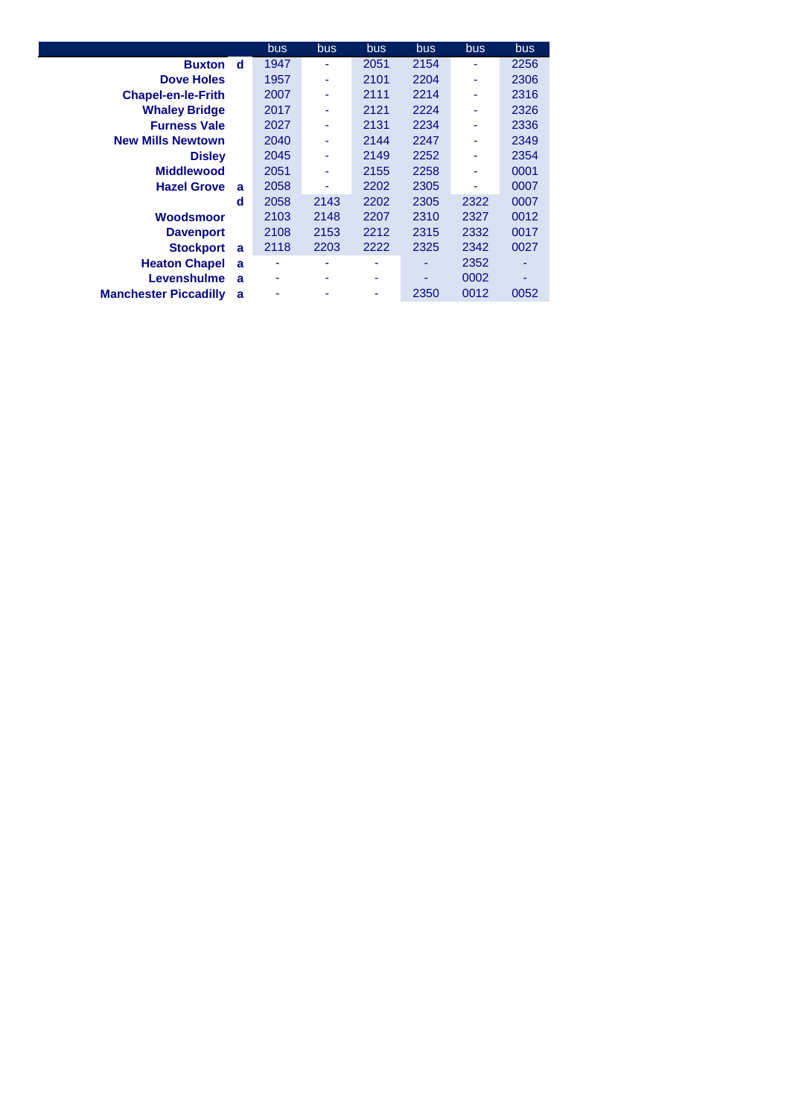|                              |   | bus. | <b>bus</b> | bus. | <b>bus</b> | bus. | bus  |
|------------------------------|---|------|------------|------|------------|------|------|
| <b>Buxton</b>                | d | 1947 | ۰          | 2051 | 2154       | ٠    | 2256 |
| <b>Dove Holes</b>            |   | 1957 |            | 2101 | 2204       | ٠    | 2306 |
| <b>Chapel-en-le-Frith</b>    |   | 2007 |            | 2111 | 2214       | ٠    | 2316 |
| <b>Whaley Bridge</b>         |   | 2017 | ۰          | 2121 | 2224       | ٠    | 2326 |
| <b>Furness Vale</b>          |   | 2027 |            | 2131 | 2234       | ۰    | 2336 |
| <b>New Mills Newtown</b>     |   | 2040 | ۰          | 2144 | 2247       | ۰    | 2349 |
| <b>Disley</b>                |   | 2045 | ۰          | 2149 | 2252       | ٠    | 2354 |
| <b>Middlewood</b>            |   | 2051 |            | 2155 | 2258       |      | 0001 |
| <b>Hazel Grove</b>           | a | 2058 |            | 2202 | 2305       |      | 0007 |
|                              | d | 2058 | 2143       | 2202 | 2305       | 2322 | 0007 |
| Woodsmoor                    |   | 2103 | 2148       | 2207 | 2310       | 2327 | 0012 |
| <b>Davenport</b>             |   | 2108 | 2153       | 2212 | 2315       | 2332 | 0017 |
| <b>Stockport</b>             | a | 2118 | 2203       | 2222 | 2325       | 2342 | 0027 |
| <b>Heaton Chapel</b>         | a |      |            |      |            | 2352 |      |
| Levenshulme                  | a | ۰    |            | ۰    |            | 0002 |      |
| <b>Manchester Piccadilly</b> | a |      |            |      | 2350       | 0012 | 0052 |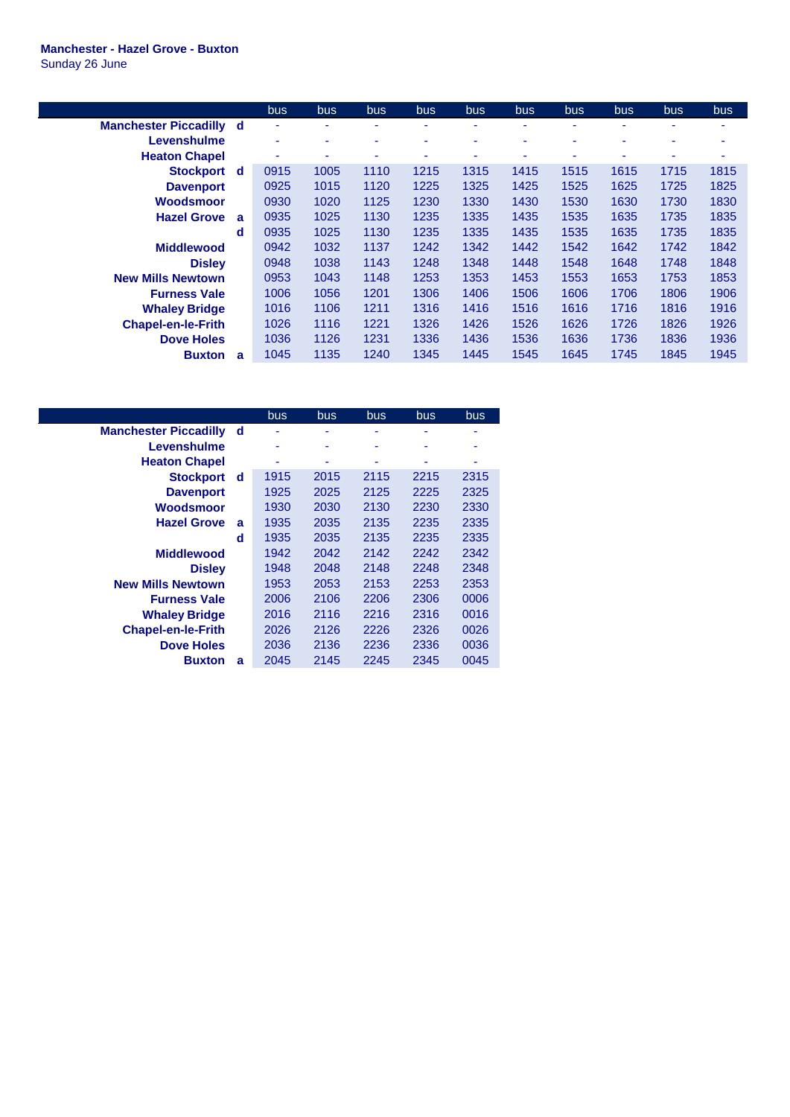## **Manchester - Hazel Grove - Buxton** Sunday 26 June

|                                |          | bus                      | bus  | bus  | bus  | bus  | bus  | bus  | bus  | bus  | bus  |
|--------------------------------|----------|--------------------------|------|------|------|------|------|------|------|------|------|
| <b>Manchester Piccadilly d</b> |          | ٠                        |      |      | ۰    | ۰    |      |      |      | ٠    |      |
| Levenshulme                    |          | ٠                        | ٠    | ٠    | ۰    | ۰    |      | ۰    | ٠    | ٠    | ۰    |
| <b>Heaton Chapel</b>           |          | $\overline{\phantom{a}}$ |      |      | ۰    |      |      |      |      | ٠    |      |
| Stockport d                    |          | 0915                     | 1005 | 1110 | 1215 | 1315 | 1415 | 1515 | 1615 | 1715 | 1815 |
| <b>Davenport</b>               |          | 0925                     | 1015 | 1120 | 1225 | 1325 | 1425 | 1525 | 1625 | 1725 | 1825 |
| Woodsmoor                      |          | 0930                     | 1020 | 1125 | 1230 | 1330 | 1430 | 1530 | 1630 | 1730 | 1830 |
| <b>Hazel Grove</b>             | <b>a</b> | 0935                     | 1025 | 1130 | 1235 | 1335 | 1435 | 1535 | 1635 | 1735 | 1835 |
|                                | d        | 0935                     | 1025 | 1130 | 1235 | 1335 | 1435 | 1535 | 1635 | 1735 | 1835 |
| <b>Middlewood</b>              |          | 0942                     | 1032 | 1137 | 1242 | 1342 | 1442 | 1542 | 1642 | 1742 | 1842 |
| <b>Disley</b>                  |          | 0948                     | 1038 | 1143 | 1248 | 1348 | 1448 | 1548 | 1648 | 1748 | 1848 |
| <b>New Mills Newtown</b>       |          | 0953                     | 1043 | 1148 | 1253 | 1353 | 1453 | 1553 | 1653 | 1753 | 1853 |
| <b>Furness Vale</b>            |          | 1006                     | 1056 | 1201 | 1306 | 1406 | 1506 | 1606 | 1706 | 1806 | 1906 |
| <b>Whaley Bridge</b>           |          | 1016                     | 1106 | 1211 | 1316 | 1416 | 1516 | 1616 | 1716 | 1816 | 1916 |
| <b>Chapel-en-le-Frith</b>      |          | 1026                     | 1116 | 1221 | 1326 | 1426 | 1526 | 1626 | 1726 | 1826 | 1926 |
| <b>Dove Holes</b>              |          | 1036                     | 1126 | 1231 | 1336 | 1436 | 1536 | 1636 | 1736 | 1836 | 1936 |
| <b>Buxton</b>                  | a        | 1045                     | 1135 | 1240 | 1345 | 1445 | 1545 | 1645 | 1745 | 1845 | 1945 |

|                              |   | bus. | bus  | bus  | bus  | bus  |
|------------------------------|---|------|------|------|------|------|
| <b>Manchester Piccadilly</b> | d | ۰    |      | ۰    |      | ۰    |
| Levenshulme                  |   | ٠    |      | ۰    | ۰    | ۰    |
| <b>Heaton Chapel</b>         |   | ۰    |      | ۰    |      | ۰    |
| <b>Stockport</b>             | d | 1915 | 2015 | 2115 | 2215 | 2315 |
| <b>Davenport</b>             |   | 1925 | 2025 | 2125 | 2225 | 2325 |
| Woodsmoor                    |   | 1930 | 2030 | 2130 | 2230 | 2330 |
| <b>Hazel Grove</b>           | a | 1935 | 2035 | 2135 | 2235 | 2335 |
|                              | d | 1935 | 2035 | 2135 | 2235 | 2335 |
| <b>Middlewood</b>            |   | 1942 | 2042 | 2142 | 2242 | 2342 |
| <b>Disley</b>                |   | 1948 | 2048 | 2148 | 2248 | 2348 |
| <b>New Mills Newtown</b>     |   | 1953 | 2053 | 2153 | 2253 | 2353 |
| <b>Furness Vale</b>          |   | 2006 | 2106 | 2206 | 2306 | 0006 |
| <b>Whaley Bridge</b>         |   | 2016 | 2116 | 2216 | 2316 | 0016 |
| <b>Chapel-en-le-Frith</b>    |   | 2026 | 2126 | 2226 | 2326 | 0026 |
| <b>Dove Holes</b>            |   | 2036 | 2136 | 2236 | 2336 | 0036 |
| <b>Buxton</b>                | a | 2045 | 2145 | 2245 | 2345 | 0045 |